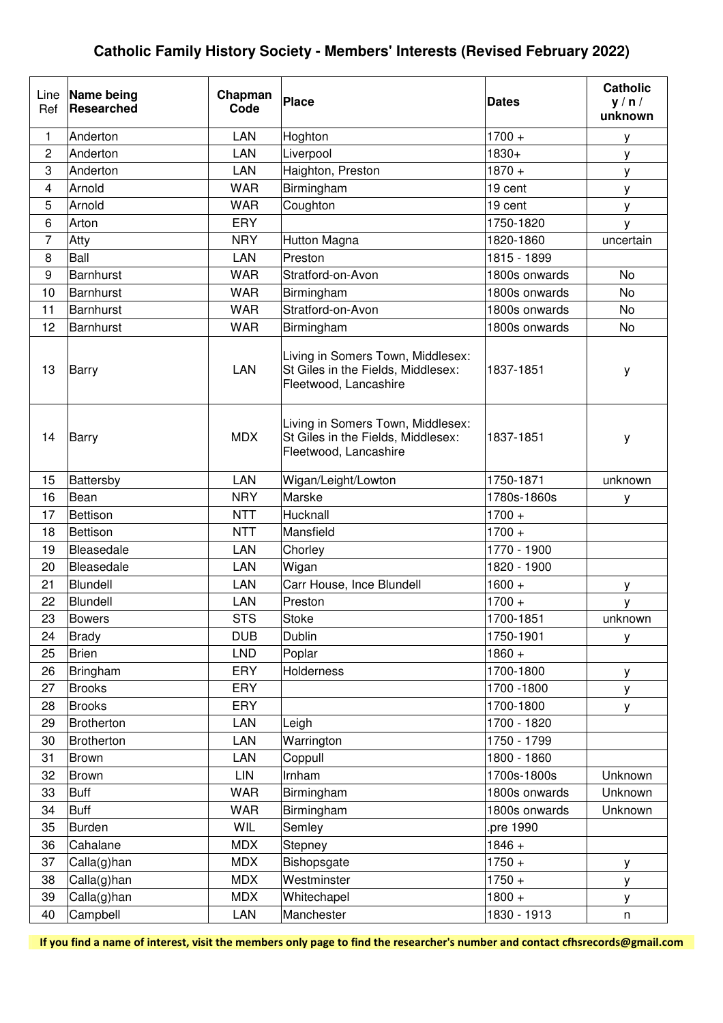| Line<br>Ref      | Name being<br><b>Researched</b> | Chapman<br>Code | Place                                                                                            | <b>Dates</b>  | <b>Catholic</b><br>y / n /<br>unknown |
|------------------|---------------------------------|-----------------|--------------------------------------------------------------------------------------------------|---------------|---------------------------------------|
| 1                | Anderton                        | <b>LAN</b>      | Hoghton                                                                                          | $1700 +$      | У                                     |
| $\overline{2}$   | Anderton                        | <b>LAN</b>      | Liverpool                                                                                        | 1830+         | у                                     |
| 3                | Anderton                        | <b>LAN</b>      | Haighton, Preston                                                                                | $1870 +$      | у                                     |
| 4                | Arnold                          | <b>WAR</b>      | Birmingham                                                                                       | 19 cent       | у                                     |
| 5                | Arnold                          | <b>WAR</b>      | Coughton                                                                                         | 19 cent       | у                                     |
| 6                | Arton                           | ERY             |                                                                                                  | 1750-1820     | у                                     |
| $\overline{7}$   | Atty                            | <b>NRY</b>      | <b>Hutton Magna</b>                                                                              | 1820-1860     | uncertain                             |
| 8                | Ball                            | <b>LAN</b>      | Preston                                                                                          | 1815 - 1899   |                                       |
| $\boldsymbol{9}$ | Barnhurst                       | <b>WAR</b>      | Stratford-on-Avon                                                                                | 1800s onwards | No                                    |
| 10               | Barnhurst                       | <b>WAR</b>      | Birmingham                                                                                       | 1800s onwards | <b>No</b>                             |
| 11               | <b>Barnhurst</b>                | <b>WAR</b>      | Stratford-on-Avon                                                                                | 1800s onwards | No                                    |
| 12               | <b>Barnhurst</b>                | <b>WAR</b>      | Birmingham                                                                                       | 1800s onwards | <b>No</b>                             |
| 13               | <b>Barry</b>                    | <b>LAN</b>      | Living in Somers Town, Middlesex:<br>St Giles in the Fields, Middlesex:<br>Fleetwood, Lancashire | 1837-1851     | у                                     |
| 14               | <b>Barry</b>                    | <b>MDX</b>      | Living in Somers Town, Middlesex:<br>St Giles in the Fields, Middlesex:<br>Fleetwood, Lancashire | 1837-1851     | у                                     |
| 15               | Battersby                       | LAN             | Wigan/Leight/Lowton                                                                              | 1750-1871     | unknown                               |
| 16               | Bean                            | <b>NRY</b>      | Marske                                                                                           | 1780s-1860s   | у                                     |
| 17               | <b>Bettison</b>                 | <b>NTT</b>      | Hucknall                                                                                         | $1700 +$      |                                       |
| 18               | Bettison                        | <b>NTT</b>      | Mansfield                                                                                        | $1700 +$      |                                       |
| 19               | Bleasedale                      | <b>LAN</b>      | Chorley                                                                                          | 1770 - 1900   |                                       |
| 20               | Bleasedale                      | LAN             | Wigan                                                                                            | 1820 - 1900   |                                       |
| 21               | Blundell                        | <b>LAN</b>      | Carr House, Ince Blundell                                                                        | $1600 +$      | у                                     |
| 22               | Blundell                        | <b>LAN</b>      | Preston                                                                                          | $1700 +$      | у                                     |
| 23               | <b>Bowers</b>                   | <b>STS</b>      | Stoke                                                                                            | 1700-1851     | unknown                               |
| 24               | <b>Brady</b>                    | <b>DUB</b>      | Dublin                                                                                           | 1750-1901     | У                                     |
| 25               | <b>Brien</b>                    | <b>LND</b>      | Poplar                                                                                           | $1860 +$      |                                       |
| 26               | Bringham                        | <b>ERY</b>      | <b>Holderness</b>                                                                                | 1700-1800     | У                                     |
| 27               | <b>Brooks</b>                   | ERY             |                                                                                                  | 1700 - 1800   | у                                     |
| 28               | <b>Brooks</b>                   | ERY             |                                                                                                  | 1700-1800     | У                                     |
| 29               | <b>Brotherton</b>               | LAN             | Leigh                                                                                            | 1700 - 1820   |                                       |
| 30               | <b>Brotherton</b>               | LAN             | Warrington                                                                                       | 1750 - 1799   |                                       |
| 31               | <b>Brown</b>                    | LAN             | Coppull                                                                                          | 1800 - 1860   |                                       |
| 32               | <b>Brown</b>                    | LIN             | Irnham                                                                                           | 1700s-1800s   | Unknown                               |
| 33               | <b>Buff</b>                     | <b>WAR</b>      | Birmingham                                                                                       | 1800s onwards | Unknown                               |
| 34               | <b>Buff</b>                     | <b>WAR</b>      | Birmingham                                                                                       | 1800s onwards | Unknown                               |
| 35               | <b>Burden</b>                   | WIL             | Semley                                                                                           | pre 1990.     |                                       |
| 36               | Cahalane                        | <b>MDX</b>      | Stepney                                                                                          | $1846 +$      |                                       |
| 37               | Calla(g)han                     | <b>MDX</b>      | Bishopsgate                                                                                      | $1750 +$      | у                                     |
| 38               | Calla(g)han                     | <b>MDX</b>      | Westminster                                                                                      | $1750 +$      | у                                     |
| 39               | Calla(g)han                     | <b>MDX</b>      | Whitechapel                                                                                      | $1800 +$      | У                                     |
| 40               | Campbell                        | LAN             | Manchester                                                                                       | 1830 - 1913   | n                                     |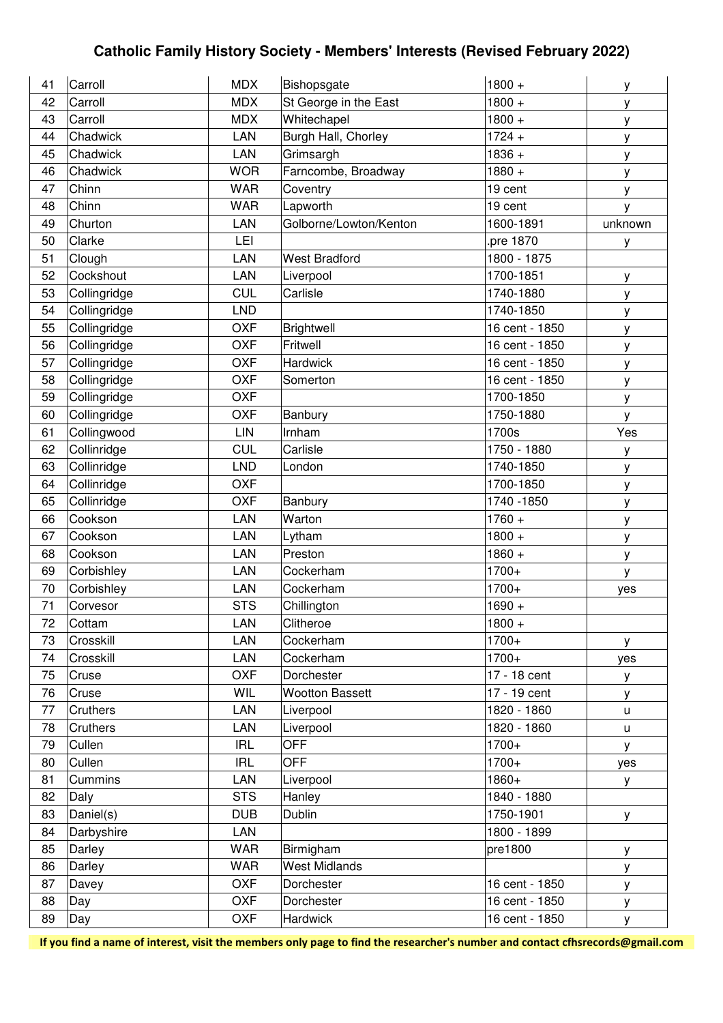| 41 | Carroll      | <b>MDX</b> | Bishopsgate            | $1800 +$       | y       |
|----|--------------|------------|------------------------|----------------|---------|
| 42 | Carroll      | <b>MDX</b> | St George in the East  | $1800 +$       | у       |
| 43 | Carroll      | <b>MDX</b> | Whitechapel            | $1800 +$       | у       |
| 44 | Chadwick     | LAN        | Burgh Hall, Chorley    | $1724 +$       | у       |
| 45 | Chadwick     | <b>LAN</b> | Grimsargh              | $1836 +$       | у       |
| 46 | Chadwick     | <b>WOR</b> | Farncombe, Broadway    | $1880 +$       | у       |
| 47 | Chinn        | <b>WAR</b> | Coventry               | 19 cent        | у       |
| 48 | Chinn        | <b>WAR</b> | Lapworth               | 19 cent        | ٧       |
| 49 | Churton      | LAN        | Golborne/Lowton/Kenton | 1600-1891      | unknown |
| 50 | Clarke       | LEI        |                        | pre 1870       | у       |
| 51 | Clough       | LAN        | <b>West Bradford</b>   | 1800 - 1875    |         |
| 52 | Cockshout    | LAN        | Liverpool              | 1700-1851      | у       |
| 53 | Collingridge | <b>CUL</b> | Carlisle               | 1740-1880      | у       |
| 54 | Collingridge | <b>LND</b> |                        | 1740-1850      | у       |
| 55 | Collingridge | <b>OXF</b> | Brightwell             | 16 cent - 1850 | У       |
| 56 | Collingridge | <b>OXF</b> | Fritwell               | 16 cent - 1850 | у       |
| 57 | Collingridge | <b>OXF</b> | <b>Hardwick</b>        | 16 cent - 1850 | у       |
| 58 | Collingridge | <b>OXF</b> | Somerton               | 16 cent - 1850 | у       |
| 59 | Collingridge | <b>OXF</b> |                        | 1700-1850      | у       |
| 60 | Collingridge | <b>OXF</b> | Banbury                | 1750-1880      | У       |
| 61 | Collingwood  | LIN        | Irnham                 | 1700s          | Yes     |
| 62 | Collinridge  | <b>CUL</b> | Carlisle               | 1750 - 1880    | у       |
| 63 | Collinridge  | <b>LND</b> | London                 | 1740-1850      | у       |
| 64 | Collinridge  | <b>OXF</b> |                        | 1700-1850      | у       |
| 65 | Collinridge  | <b>OXF</b> | Banbury                | 1740 - 1850    | у       |
| 66 | Cookson      | LAN        | Warton                 | $1760 +$       | у       |
| 67 | Cookson      | LAN        | Lytham                 | $1800 +$       | У       |
| 68 | Cookson      | LAN        | Preston                | $1860 +$       | у       |
| 69 | Corbishley   | LAN        | Cockerham              | 1700+          | У       |
| 70 | Corbishley   | LAN        | Cockerham              | 1700+          | yes     |
| 71 | Corvesor     | <b>STS</b> | Chillington            | $1690 +$       |         |
| 72 | Cottam       | LAN        | Clitheroe              | $1800 +$       |         |
| 73 | Crosskill    | <b>LAN</b> | Cockerham              | 1700+          | У       |
| 74 | Crosskill    | LAN        | Cockerham              | $1700+$        | yes     |
| 75 | Cruse        | <b>OXF</b> | Dorchester             | 17 - 18 cent   | y       |
| 76 | Cruse        | WIL        | <b>Wootton Bassett</b> | 17 - 19 cent   | У       |
| 77 | Cruthers     | LAN        | Liverpool              | 1820 - 1860    | u       |
| 78 | Cruthers     | <b>LAN</b> | Liverpool              | 1820 - 1860    | u       |
| 79 | Cullen       | <b>IRL</b> | <b>OFF</b>             | $1700+$        | У       |
| 80 | Cullen       | <b>IRL</b> | <b>OFF</b>             | 1700+          | yes     |
| 81 | Cummins      | LAN        | Liverpool              | 1860+          | У       |
| 82 | Daly         | <b>STS</b> | Hanley                 | 1840 - 1880    |         |
| 83 | Daniel(s)    | <b>DUB</b> | <b>Dublin</b>          | 1750-1901      | У       |
| 84 | Darbyshire   | <b>LAN</b> |                        | 1800 - 1899    |         |
| 85 | Darley       | <b>WAR</b> | Birmigham              | pre1800        | У       |
| 86 | Darley       | <b>WAR</b> | <b>West Midlands</b>   |                | У       |
| 87 | Davey        | <b>OXF</b> | Dorchester             | 16 cent - 1850 | У       |
| 88 | Day          | <b>OXF</b> | Dorchester             | 16 cent - 1850 | y       |
| 89 | Day          | <b>OXF</b> | <b>Hardwick</b>        | 16 cent - 1850 | y       |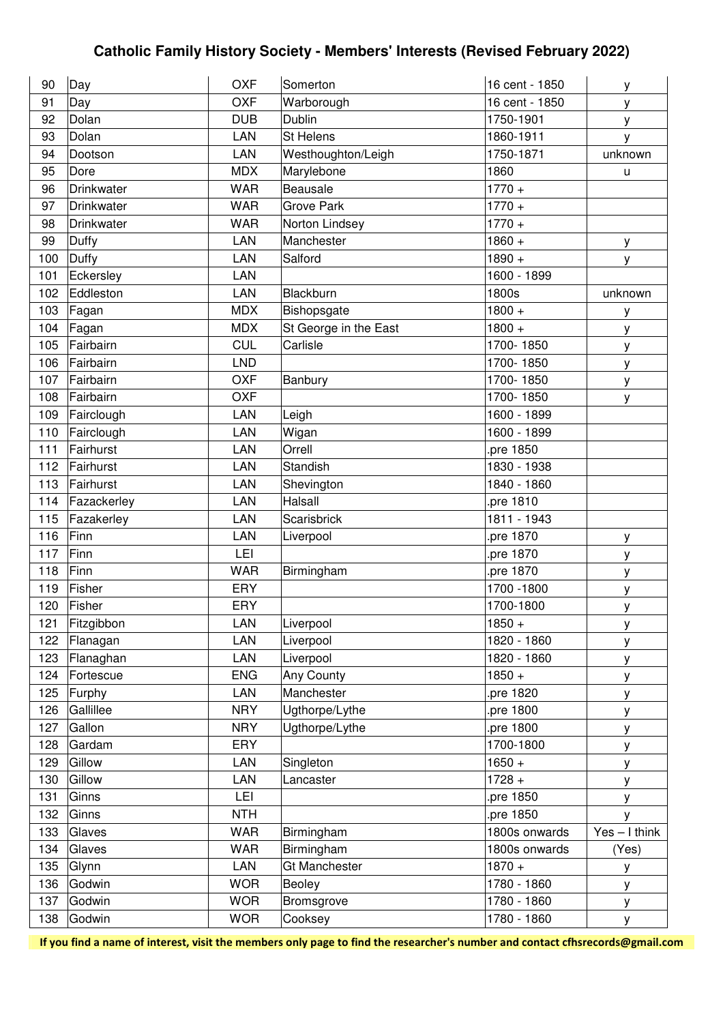| 90  | Day         | <b>OXF</b> | Somerton              | 16 cent - 1850 | у               |
|-----|-------------|------------|-----------------------|----------------|-----------------|
| 91  | Day         | <b>OXF</b> | Warborough            | 16 cent - 1850 | у               |
| 92  | Dolan       | <b>DUB</b> | Dublin                | 1750-1901      | y               |
| 93  | Dolan       | LAN        | St Helens             | 1860-1911      | y               |
| 94  | Dootson     | LAN        | Westhoughton/Leigh    | 1750-1871      | unknown         |
| 95  | Dore        | <b>MDX</b> | Marylebone            | 1860           | u               |
| 96  | Drinkwater  | <b>WAR</b> | Beausale              | $1770 +$       |                 |
| 97  | Drinkwater  | <b>WAR</b> | <b>Grove Park</b>     | $1770 +$       |                 |
| 98  | Drinkwater  | <b>WAR</b> | Norton Lindsey        | $1770 +$       |                 |
| 99  | Duffy       | LAN        | Manchester            | $1860 +$       | у               |
| 100 | Duffy       | LAN        | Salford               | $1890 +$       | у               |
| 101 | Eckersley   | LAN        |                       | 1600 - 1899    |                 |
| 102 | Eddleston   | LAN        | Blackburn             | 1800s          | unknown         |
| 103 | Fagan       | <b>MDX</b> | Bishopsgate           | $1800 +$       | у               |
| 104 | Fagan       | <b>MDX</b> | St George in the East | $1800 +$       | у               |
| 105 | Fairbairn   | <b>CUL</b> | Carlisle              | 1700-1850      | у               |
| 106 | Fairbairn   | <b>LND</b> |                       | 1700-1850      | у               |
| 107 | Fairbairn   | <b>OXF</b> | Banbury               | 1700-1850      | у               |
| 108 | Fairbairn   | <b>OXF</b> |                       | 1700-1850      | у               |
| 109 | Fairclough  | LAN        | Leigh                 | 1600 - 1899    |                 |
| 110 | Fairclough  | LAN        | Wigan                 | 1600 - 1899    |                 |
| 111 | Fairhurst   | LAN        | Orrell                | pre 1850.      |                 |
| 112 | Fairhurst   | LAN        | Standish              | 1830 - 1938    |                 |
| 113 | Fairhurst   | LAN        | Shevington            | 1840 - 1860    |                 |
| 114 | Fazackerley | LAN        | Halsall               | pre 1810       |                 |
| 115 | Fazakerley  | LAN        | Scarisbrick           | 1811 - 1943    |                 |
| 116 | Finn        | LAN        | Liverpool             | pre 1870       | у               |
| 117 | Finn        | LEI        |                       | pre 1870       | у               |
| 118 | Finn        | <b>WAR</b> | Birmingham            | pre 1870.      | У               |
| 119 | Fisher      | <b>ERY</b> |                       | 1700 - 1800    | У               |
| 120 | Fisher      | ERY        |                       | 1700-1800      | у               |
| 121 | Fitzgibbon  | LAN        | Liverpool             | $1850 +$       | у               |
| 122 | Flanagan    | LAN        | Liverpool             | 1820 - 1860    | У               |
| 123 | Flanaghan   | LAN        | Liverpool             | 1820 - 1860    | у               |
| 124 | Fortescue   | <b>ENG</b> | Any County            | $1850 +$       | у               |
| 125 | Furphy      | LAN        | Manchester            | pre 1820       | у               |
| 126 | Gallillee   | <b>NRY</b> | Ugthorpe/Lythe        | pre 1800       | У               |
| 127 | Gallon      | <b>NRY</b> | Ugthorpe/Lythe        | pre 1800.      | у               |
| 128 | Gardam      | <b>ERY</b> |                       | 1700-1800      | у               |
| 129 | Gillow      | LAN        | Singleton             | $1650 +$       | у               |
| 130 | Gillow      | LAN        | Lancaster             | $1728 +$       | у               |
| 131 | Ginns       | LEI        |                       | pre 1850       | y               |
| 132 | Ginns       | <b>NTH</b> |                       | pre 1850.      | У               |
| 133 | Glaves      | <b>WAR</b> | Birmingham            | 1800s onwards  | $Yes - I think$ |
| 134 | Glaves      | <b>WAR</b> | Birmingham            | 1800s onwards  | (Yes)           |
| 135 | Glynn       | LAN        | <b>Gt Manchester</b>  | $1870 +$       | у               |
| 136 | Godwin      | <b>WOR</b> | Beoley                | 1780 - 1860    | у               |
| 137 | Godwin      | <b>WOR</b> | Bromsgrove            | 1780 - 1860    | у               |
| 138 | Godwin      | <b>WOR</b> | Cooksey               | 1780 - 1860    | y               |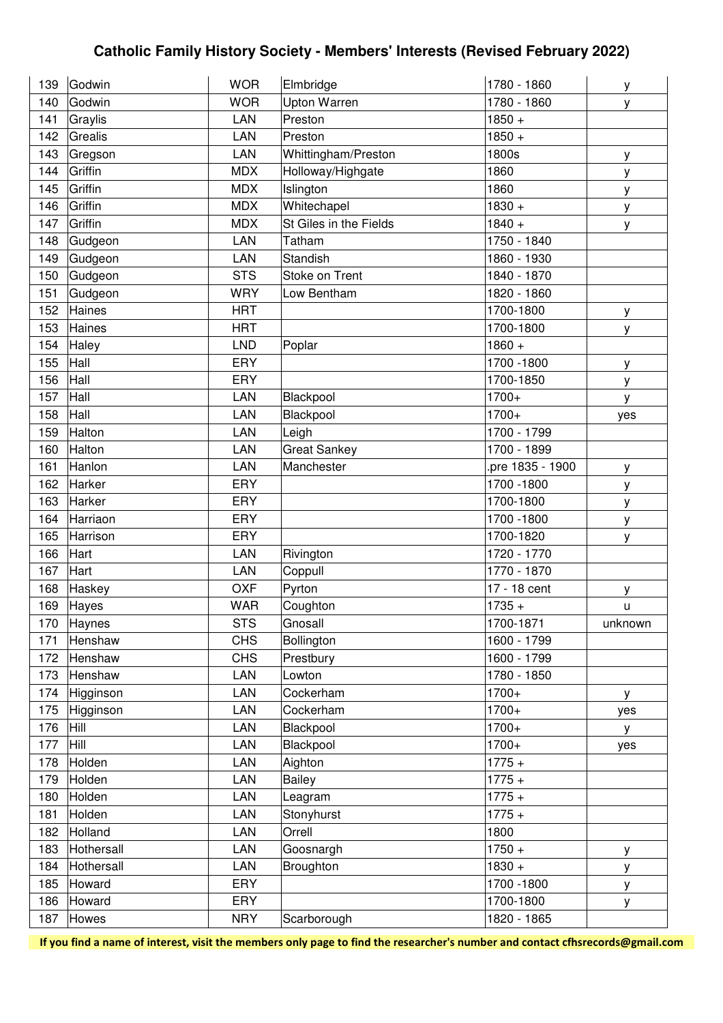| 139 | Godwin      | <b>WOR</b> | Elmbridge              | 1780 - 1860        | у       |
|-----|-------------|------------|------------------------|--------------------|---------|
| 140 | Godwin      | <b>WOR</b> | Upton Warren           | 1780 - 1860        | у       |
| 141 | Graylis     | LAN        | Preston                | $1850 +$           |         |
| 142 | Grealis     | LAN        | Preston                | $\frac{1}{1850}$ + |         |
| 143 | Gregson     | LAN        | Whittingham/Preston    | 1800s              | у       |
| 144 | Griffin     | <b>MDX</b> | Holloway/Highgate      | 1860               | У       |
| 145 | Griffin     | <b>MDX</b> | Islington              | 1860               | у       |
| 146 | Griffin     | <b>MDX</b> | Whitechapel            | $1830 +$           | у       |
| 147 | Griffin     | <b>MDX</b> | St Giles in the Fields | $1840 +$           | у       |
| 148 | Gudgeon     | <b>LAN</b> | Tatham                 | 1750 - 1840        |         |
| 149 | Gudgeon     | LAN        | Standish               | 1860 - 1930        |         |
| 150 | Gudgeon     | <b>STS</b> | Stoke on Trent         | 1840 - 1870        |         |
| 151 | Gudgeon     | <b>WRY</b> | Low Bentham            | 1820 - 1860        |         |
| 152 | Haines      | <b>HRT</b> |                        | 1700-1800          | у       |
| 153 | Haines      | <b>HRT</b> |                        | 1700-1800          | у       |
| 154 | Haley       | <b>LND</b> | Poplar                 | $1860 +$           |         |
| 155 | Hall        | <b>ERY</b> |                        | 1700 - 1800        | у       |
| 156 | Hall        | ERY        |                        | 1700-1850          | у       |
| 157 | Hall        | LAN        | Blackpool              | $1700+$            | y       |
| 158 | Hall        | LAN        | Blackpool              | 1700+              | yes     |
| 159 | Halton      | LAN        | Leigh                  | 1700 - 1799        |         |
| 160 | Halton      | LAN        | <b>Great Sankey</b>    | 1700 - 1899        |         |
| 161 | Hanlon      | <b>LAN</b> | Manchester             | pre 1835 - 1900    | у       |
| 162 | Harker      | ERY        |                        | 1700 - 1800        | у       |
| 163 | Harker      | <b>ERY</b> |                        | 1700-1800          | у       |
| 164 | Harriaon    | ERY        |                        | 1700 - 1800        | у       |
| 165 | Harrison    | ERY        |                        | 1700-1820          | у       |
| 166 | Hart        | LAN        | Rivington              | 1720 - 1770        |         |
| 167 | Hart        | <b>LAN</b> | Coppull                | 1770 - 1870        |         |
| 168 | Haskey      | <b>OXF</b> | Pyrton                 | 17 - 18 cent       | у       |
| 169 | Hayes       | <b>WAR</b> | Coughton               | $1735 +$           | u       |
| 170 | Haynes      | <b>STS</b> | Gnosall                | 1700-1871          | unknown |
| 171 | Henshaw     | <b>CHS</b> | Bollington             | 1600 - 1799        |         |
| 172 | Henshaw     | <b>CHS</b> | Prestbury              | 1600 - 1799        |         |
| 173 | Henshaw     | LAN        | Lowton                 | 1780 - 1850        |         |
| 174 | Higginson   | LAN        | Cockerham              | $1700+$            | У       |
| 175 | Higginson   | LAN        | Cockerham              | 1700+              | yes     |
| 176 | Hill        | LAN        | Blackpool              | 1700+              | У       |
| 177 | <b>Hill</b> | LAN        | Blackpool              | 1700+              | yes     |
| 178 | Holden      | LAN        | Aighton                | $1775 +$           |         |
| 179 | Holden      | LAN        | <b>Bailey</b>          | $1775 +$           |         |
| 180 | Holden      | LAN        | Leagram                | $1775 +$           |         |
| 181 | Holden      | LAN        | Stonyhurst             | $1775 +$           |         |
| 182 | Holland     | LAN        | Orrell                 | 1800               |         |
| 183 | Hothersall  | <b>LAN</b> | Goosnargh              | $1750 +$           | у       |
| 184 | Hothersall  | LAN        | Broughton              | $1830 +$           | у       |
| 185 | Howard      | ERY        |                        | 1700 - 1800        | У       |
| 186 | Howard      | ERY        |                        | 1700-1800          | у       |
| 187 | Howes       | <b>NRY</b> | Scarborough            | 1820 - 1865        |         |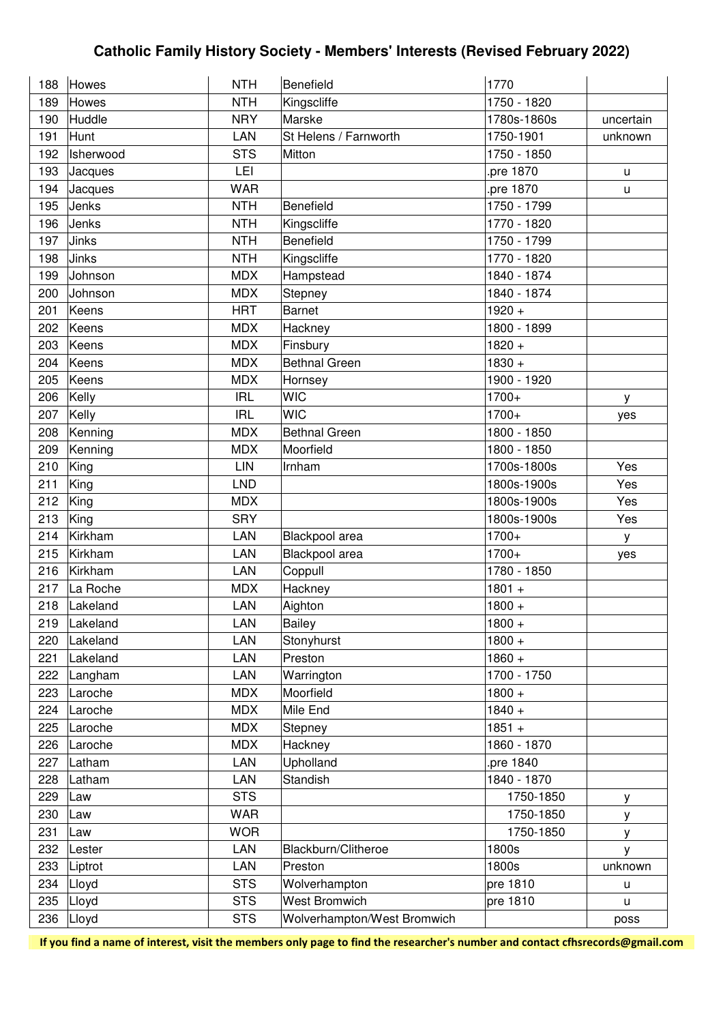| 188 | Howes     | <b>NTH</b> | Benefield                   | 1770        |           |
|-----|-----------|------------|-----------------------------|-------------|-----------|
| 189 | Howes     | <b>NTH</b> | Kingscliffe                 | 1750 - 1820 |           |
| 190 | Huddle    | <b>NRY</b> | Marske                      | 1780s-1860s | uncertain |
| 191 | Hunt      | LAN        | St Helens / Farnworth       | 1750-1901   | unknown   |
| 192 | Isherwood | <b>STS</b> | Mitton                      | 1750 - 1850 |           |
| 193 | Jacques   | LEI        |                             | pre 1870.   | U.        |
| 194 | Jacques   | <b>WAR</b> |                             | pre 1870.   | u         |
| 195 | Jenks     | <b>NTH</b> | Benefield                   | 1750 - 1799 |           |
| 196 | Jenks     | <b>NTH</b> | Kingscliffe                 | 1770 - 1820 |           |
| 197 | Jinks     | <b>NTH</b> | Benefield                   | 1750 - 1799 |           |
| 198 | Jinks     | <b>NTH</b> | Kingscliffe                 | 1770 - 1820 |           |
| 199 | Johnson   | <b>MDX</b> | Hampstead                   | 1840 - 1874 |           |
| 200 | Johnson   | <b>MDX</b> | Stepney                     | 1840 - 1874 |           |
| 201 | Keens     | <b>HRT</b> | <b>Barnet</b>               | $1920 +$    |           |
| 202 | Keens     | <b>MDX</b> | Hackney                     | 1800 - 1899 |           |
| 203 | Keens     | <b>MDX</b> | Finsbury                    | $1820 +$    |           |
| 204 | Keens     | <b>MDX</b> | <b>Bethnal Green</b>        | $1830 +$    |           |
| 205 | Keens     | <b>MDX</b> | Hornsey                     | 1900 - 1920 |           |
| 206 | Kelly     | <b>IRL</b> | <b>WIC</b>                  | 1700+       | У         |
| 207 | Kelly     | <b>IRL</b> | <b>WIC</b>                  | $1700+$     | yes       |
| 208 | Kenning   | <b>MDX</b> | <b>Bethnal Green</b>        | 1800 - 1850 |           |
| 209 | Kenning   | <b>MDX</b> | Moorfield                   | 1800 - 1850 |           |
| 210 | King      | LIN        | Irnham                      | 1700s-1800s | Yes       |
| 211 | King      | <b>LND</b> |                             | 1800s-1900s | Yes       |
| 212 | King      | <b>MDX</b> |                             | 1800s-1900s | Yes       |
| 213 | King      | <b>SRY</b> |                             | 1800s-1900s | Yes       |
| 214 | Kirkham   | LAN        | Blackpool area              | 1700+       | y         |
| 215 | Kirkham   | LAN        | Blackpool area              | 1700+       | yes       |
| 216 | Kirkham   | LAN        | Coppull                     | 1780 - 1850 |           |
| 217 | La Roche  | <b>MDX</b> | Hackney                     | $1801 +$    |           |
| 218 | Lakeland  | <b>LAN</b> | Aighton                     | $1800 +$    |           |
| 219 | Lakeland  | LAN        | Bailey                      | $1800 +$    |           |
| 220 | Lakeland  | LAN        | Stonyhurst                  | $1800 +$    |           |
| 221 | Lakeland  | LAN        | Preston                     | $1860 +$    |           |
| 222 | Langham   | LAN        | Warrington                  | 1700 - 1750 |           |
| 223 | Laroche   | <b>MDX</b> | Moorfield                   | $1800 +$    |           |
| 224 | Laroche   | <b>MDX</b> | Mile End                    | $1840 +$    |           |
| 225 | Laroche   | <b>MDX</b> | Stepney                     | $1851 +$    |           |
| 226 | Laroche   | <b>MDX</b> | Hackney                     | 1860 - 1870 |           |
| 227 | Latham    | LAN        | Upholland                   | pre 1840    |           |
| 228 | Latham    | LAN        | Standish                    | 1840 - 1870 |           |
| 229 | Law       | <b>STS</b> |                             | 1750-1850   | У         |
| 230 | Law       | <b>WAR</b> |                             | 1750-1850   | у         |
| 231 | Law       | <b>WOR</b> |                             | 1750-1850   | у         |
| 232 | Lester    | LAN        | Blackburn/Clitheroe         | 1800s       | y         |
| 233 | Liptrot   | LAN        | Preston                     | 1800s       | unknown   |
| 234 | Lloyd     | <b>STS</b> | Wolverhampton               | pre 1810    | u         |
| 235 | Lloyd     | <b>STS</b> | <b>West Bromwich</b>        | pre 1810    | u         |
| 236 | Lloyd     | <b>STS</b> | Wolverhampton/West Bromwich |             | poss      |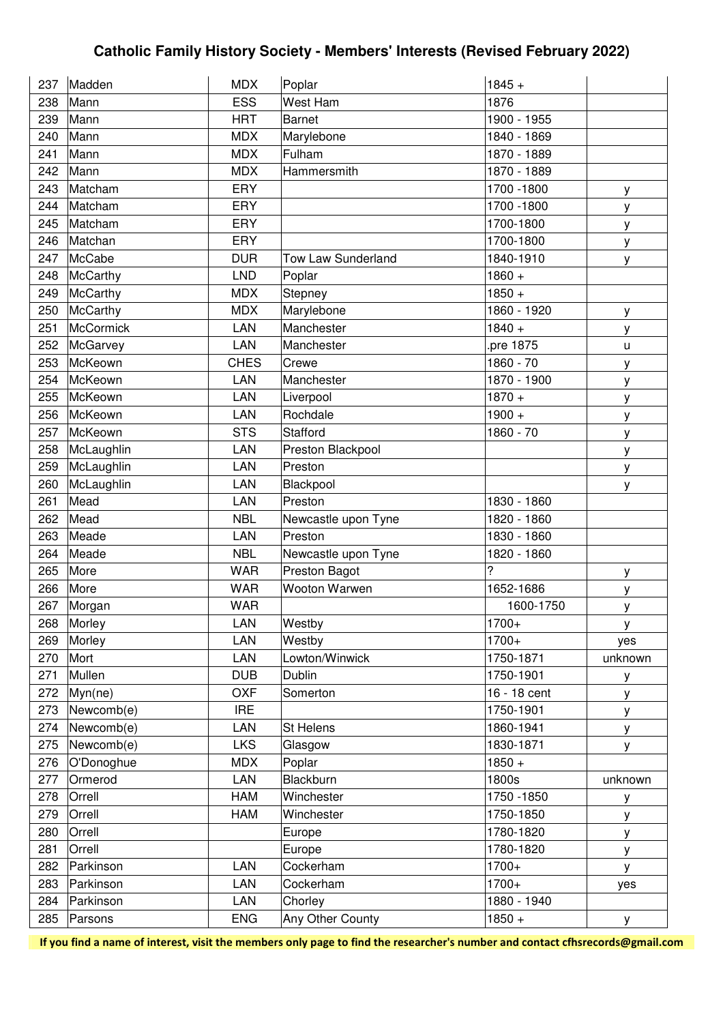| 237 | Madden     | <b>MDX</b>  | Poplar              | $1845 +$     |         |
|-----|------------|-------------|---------------------|--------------|---------|
| 238 | Mann       | <b>ESS</b>  | <b>West Ham</b>     | 1876         |         |
| 239 | Mann       | <b>HRT</b>  | <b>Barnet</b>       | 1900 - 1955  |         |
| 240 | Mann       | <b>MDX</b>  | Marylebone          | 1840 - 1869  |         |
| 241 | Mann       | <b>MDX</b>  | Fulham              | 1870 - 1889  |         |
| 242 | Mann       | <b>MDX</b>  | Hammersmith         | 1870 - 1889  |         |
| 243 | Matcham    | ERY         |                     | 1700 - 1800  | у       |
| 244 | Matcham    | <b>ERY</b>  |                     | 1700 - 1800  | у       |
| 245 | Matcham    | ERY         |                     | 1700-1800    | у       |
| 246 | Matchan    | ERY         |                     | 1700-1800    | у       |
| 247 | McCabe     | <b>DUR</b>  | Tow Law Sunderland  | 1840-1910    | у       |
| 248 | McCarthy   | <b>LND</b>  | Poplar              | $1860 +$     |         |
| 249 | McCarthy   | <b>MDX</b>  | Stepney             | $1850 +$     |         |
| 250 | McCarthy   | <b>MDX</b>  | Marylebone          | 1860 - 1920  | у       |
| 251 | McCormick  | LAN         | Manchester          | $1840 +$     | у       |
| 252 | McGarvey   | LAN         | Manchester          | pre 1875     | u       |
| 253 | McKeown    | <b>CHES</b> | Crewe               | 1860 - 70    | у       |
| 254 | McKeown    | LAN         | Manchester          | 1870 - 1900  | у       |
| 255 | McKeown    | LAN         | Liverpool           | $1870 +$     | y       |
| 256 | McKeown    | LAN         | Rochdale            | $1900 +$     | у       |
| 257 | McKeown    | <b>STS</b>  | Stafford            | 1860 - 70    | у       |
| 258 | McLaughlin | LAN         | Preston Blackpool   |              | у       |
| 259 | McLaughlin | LAN         | Preston             |              | у       |
| 260 | McLaughlin | <b>LAN</b>  | Blackpool           |              | У       |
| 261 | Mead       | LAN         | Preston             | 1830 - 1860  |         |
| 262 | Mead       | <b>NBL</b>  | Newcastle upon Tyne | 1820 - 1860  |         |
| 263 | Meade      | LAN         | Preston             | 1830 - 1860  |         |
| 264 | Meade      | <b>NBL</b>  | Newcastle upon Tyne | 1820 - 1860  |         |
| 265 | More       | <b>WAR</b>  | Preston Bagot       | ?            | у       |
| 266 | More       | <b>WAR</b>  | Wooton Warwen       | 1652-1686    | у       |
| 267 | Morgan     | <b>WAR</b>  |                     | 1600-1750    | у       |
| 268 | Morley     | LAN         | Westby              | $1700+$      | У       |
| 269 | Morley     | LAN         | Westby              | 1700+        | yes     |
| 270 | Mort       | <b>LAN</b>  | Lowton/Winwick      | 1750-1871    | unknown |
| 271 | Mullen     | <b>DUB</b>  | <b>Dublin</b>       | 1750-1901    | у       |
| 272 | Myn(ne)    | <b>OXF</b>  | Somerton            | 16 - 18 cent | у       |
| 273 | Newcomb(e) | <b>IRE</b>  |                     | 1750-1901    | у       |
| 274 | Newcomb(e) | LAN         | St Helens           | 1860-1941    | у       |
| 275 | Newcomb(e) | <b>LKS</b>  | Glasgow             | 1830-1871    | У       |
| 276 | O'Donoghue | <b>MDX</b>  | Poplar              | $1850 +$     |         |
| 277 | Ormerod    | LAN         | Blackburn           | 1800s        | unknown |
| 278 | Orrell     | HAM         | Winchester          | 1750 - 1850  | у       |
| 279 | Orrell     | HAM         | Winchester          | 1750-1850    | у       |
| 280 | Orrell     |             | Europe              | 1780-1820    | у       |
| 281 | Orrell     |             | Europe              | 1780-1820    | у       |
| 282 | Parkinson  | LAN         | Cockerham           | 1700+        | у       |
| 283 | Parkinson  | LAN         | Cockerham           | 1700+        | yes     |
| 284 | Parkinson  | LAN         | Chorley             | 1880 - 1940  |         |
| 285 | Parsons    | <b>ENG</b>  | Any Other County    | $1850 +$     | у       |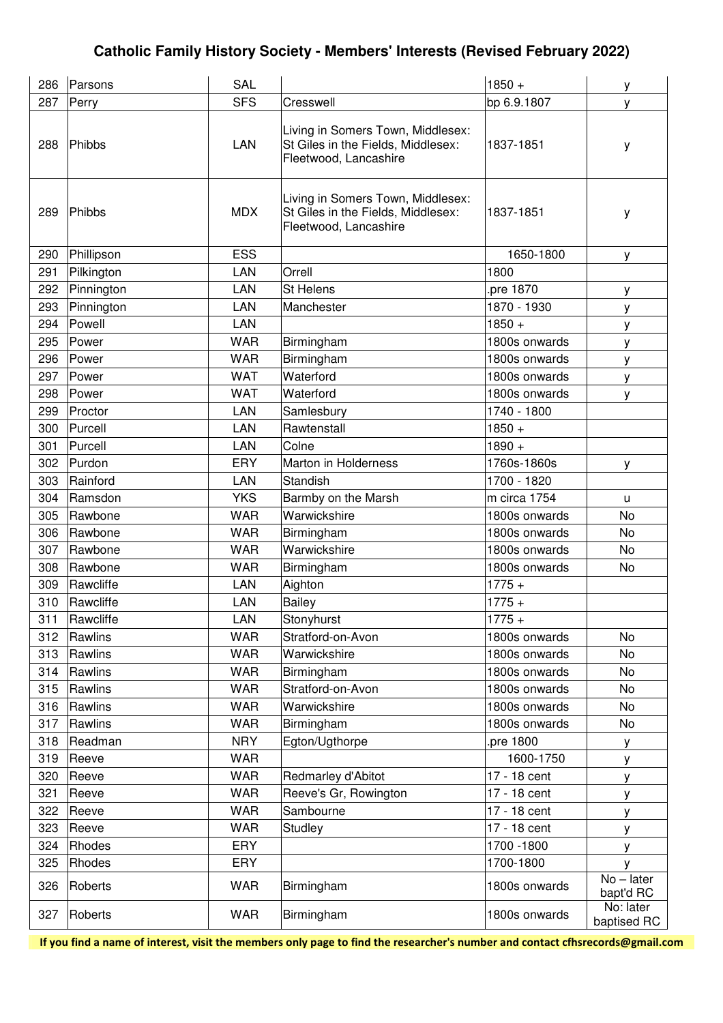| 286 | Parsons    | SAL        |                                                                                                  | $1850 +$      | у                         |
|-----|------------|------------|--------------------------------------------------------------------------------------------------|---------------|---------------------------|
| 287 | Perry      | <b>SFS</b> | Cresswell                                                                                        | bp 6.9.1807   | у                         |
| 288 | Phibbs     | <b>LAN</b> | Living in Somers Town, Middlesex:<br>St Giles in the Fields, Middlesex:<br>Fleetwood, Lancashire | 1837-1851     | у                         |
| 289 | Phibbs     | <b>MDX</b> | Living in Somers Town, Middlesex:<br>St Giles in the Fields, Middlesex:<br>Fleetwood, Lancashire | 1837-1851     | у                         |
| 290 | Phillipson | <b>ESS</b> |                                                                                                  | 1650-1800     | у                         |
| 291 | Pilkington | LAN        | Orrell                                                                                           | 1800          |                           |
| 292 | Pinnington | <b>LAN</b> | <b>St Helens</b>                                                                                 | pre 1870      | у                         |
| 293 | Pinnington | LAN        | Manchester                                                                                       | 1870 - 1930   | у                         |
| 294 | Powell     | <b>LAN</b> |                                                                                                  | $1850 +$      | у                         |
| 295 | Power      | <b>WAR</b> | Birmingham                                                                                       | 1800s onwards | у                         |
| 296 | Power      | <b>WAR</b> | Birmingham                                                                                       | 1800s onwards | у                         |
| 297 | Power      | <b>WAT</b> | Waterford                                                                                        | 1800s onwards | у                         |
| 298 | Power      | <b>WAT</b> | Waterford                                                                                        | 1800s onwards | у                         |
| 299 | Proctor    | <b>LAN</b> | Samlesbury                                                                                       | 1740 - 1800   |                           |
| 300 | Purcell    | <b>LAN</b> | Rawtenstall                                                                                      | $1850 +$      |                           |
| 301 | Purcell    | LAN        | Colne                                                                                            | $1890 +$      |                           |
| 302 | Purdon     | <b>ERY</b> | Marton in Holderness                                                                             | 1760s-1860s   | у                         |
| 303 | Rainford   | <b>LAN</b> | Standish                                                                                         | 1700 - 1820   |                           |
| 304 | Ramsdon    | <b>YKS</b> | Barmby on the Marsh                                                                              | m circa 1754  | u                         |
| 305 | Rawbone    | <b>WAR</b> | Warwickshire                                                                                     | 1800s onwards | No                        |
| 306 | Rawbone    | <b>WAR</b> | Birmingham                                                                                       | 1800s onwards | No                        |
| 307 | Rawbone    | <b>WAR</b> | Warwickshire                                                                                     | 1800s onwards | No                        |
| 308 | Rawbone    | <b>WAR</b> | Birmingham                                                                                       | 1800s onwards | No                        |
| 309 | Rawcliffe  | LAN        | Aighton                                                                                          | $1775 +$      |                           |
| 310 | Rawcliffe  | LAN        | Bailey                                                                                           | $1775 +$      |                           |
| 311 | Rawcliffe  | LAN        | Stonyhurst                                                                                       | $1775 +$      |                           |
| 312 | Rawlins    | <b>WAR</b> | Stratford-on-Avon                                                                                | 1800s onwards | No                        |
| 313 | Rawlins    | <b>WAR</b> | Warwickshire                                                                                     | 1800s onwards | No                        |
| 314 | Rawlins    | <b>WAR</b> | Birmingham                                                                                       | 1800s onwards | No                        |
| 315 | Rawlins    | <b>WAR</b> | Stratford-on-Avon                                                                                | 1800s onwards | No                        |
| 316 | Rawlins    | <b>WAR</b> | Warwickshire                                                                                     | 1800s onwards | <b>No</b>                 |
| 317 | Rawlins    | <b>WAR</b> | Birmingham                                                                                       | 1800s onwards | No                        |
| 318 | Readman    | <b>NRY</b> | Egton/Ugthorpe                                                                                   | pre 1800      | у                         |
| 319 | Reeve      | <b>WAR</b> |                                                                                                  | 1600-1750     | у                         |
| 320 | Reeve      | <b>WAR</b> | Redmarley d'Abitot                                                                               | 17 - 18 cent  | у                         |
| 321 | Reeve      | <b>WAR</b> | Reeve's Gr, Rowington                                                                            | 17 - 18 cent  | у                         |
| 322 | Reeve      | <b>WAR</b> | Sambourne                                                                                        | 17 - 18 cent  | у                         |
| 323 | Reeve      | <b>WAR</b> | Studley                                                                                          | 17 - 18 cent  | y                         |
| 324 | Rhodes     | ERY        |                                                                                                  | 1700 - 1800   | у                         |
| 325 | Rhodes     | ERY        |                                                                                                  | 1700-1800     | v                         |
| 326 | Roberts    | <b>WAR</b> | Birmingham                                                                                       | 1800s onwards | $No$ – later<br>bapt'd RC |
| 327 | Roberts    | <b>WAR</b> | Birmingham                                                                                       | 1800s onwards | No: later<br>baptised RC  |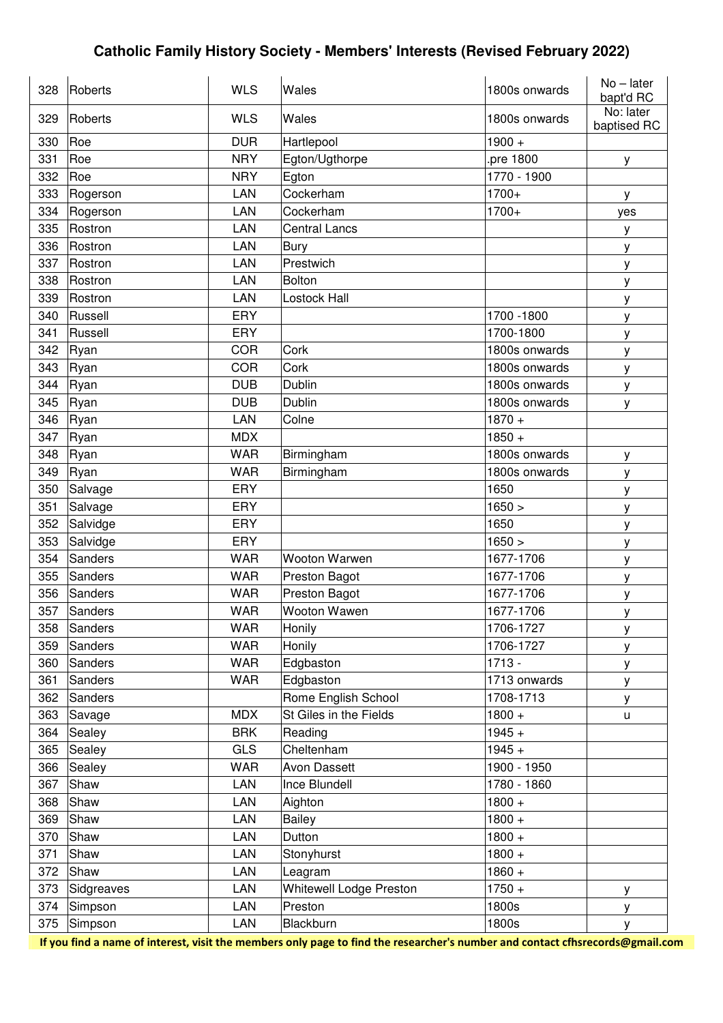| 328 | Roberts    | <b>WLS</b> | Wales                   | 1800s onwards | $No$ – later<br>bapt'd RC |
|-----|------------|------------|-------------------------|---------------|---------------------------|
| 329 | Roberts    | <b>WLS</b> | Wales                   | 1800s onwards | No: later<br>baptised RC  |
| 330 | Roe        | <b>DUR</b> | Hartlepool              | $1900 +$      |                           |
| 331 | Roe        | <b>NRY</b> | Egton/Ugthorpe          | pre 1800      | у                         |
| 332 | Roe        | <b>NRY</b> | Egton                   | 1770 - 1900   |                           |
| 333 | Rogerson   | LAN        | Cockerham               | 1700+         | y                         |
| 334 | Rogerson   | LAN        | Cockerham               | 1700+         | yes                       |
| 335 | Rostron    | LAN        | <b>Central Lancs</b>    |               | У                         |
| 336 | Rostron    | LAN        | Bury                    |               | у                         |
| 337 | Rostron    | LAN        | Prestwich               |               | у                         |
| 338 | Rostron    | LAN        | <b>Bolton</b>           |               | у                         |
| 339 | Rostron    | LAN        | Lostock Hall            |               | у                         |
| 340 | Russell    | ERY        |                         | 1700 - 1800   | у                         |
| 341 | Russell    | ERY        |                         | 1700-1800     | у                         |
| 342 | Ryan       | <b>COR</b> | Cork                    | 1800s onwards | у                         |
| 343 | Ryan       | <b>COR</b> | Cork                    | 1800s onwards | у                         |
| 344 | Ryan       | <b>DUB</b> | Dublin                  | 1800s onwards | у                         |
| 345 | Ryan       | <b>DUB</b> | Dublin                  | 1800s onwards | у                         |
| 346 | Ryan       | LAN        | Colne                   | $1870 +$      |                           |
| 347 | Ryan       | <b>MDX</b> |                         | $1850 +$      |                           |
| 348 | Ryan       | <b>WAR</b> | Birmingham              | 1800s onwards | у                         |
| 349 | Ryan       | <b>WAR</b> | Birmingham              | 1800s onwards | у                         |
| 350 | Salvage    | ERY        |                         | 1650          | у                         |
| 351 | Salvage    | ERY        |                         | 1650 >        | у                         |
| 352 | Salvidge   | ERY        |                         | 1650          | у                         |
| 353 | Salvidge   | ERY        |                         | 1650 >        | у                         |
| 354 | Sanders    | <b>WAR</b> | Wooton Warwen           | 1677-1706     | у                         |
| 355 | Sanders    | <b>WAR</b> | Preston Bagot           | 1677-1706     | у                         |
| 356 | Sanders    | <b>WAR</b> | Preston Bagot           | 1677-1706     | у                         |
| 357 | Sanders    | <b>WAR</b> | Wooton Wawen            | 1677-1706     | у                         |
| 358 | Sanders    | <b>WAR</b> | Honily                  | 1706-1727     | у                         |
| 359 | Sanders    | <b>WAR</b> | Honily                  | 1706-1727     | у                         |
| 360 | Sanders    | <b>WAR</b> | Edgbaston               | $1713 -$      | у                         |
| 361 | Sanders    | <b>WAR</b> | Edgbaston               | 1713 onwards  | У                         |
| 362 | Sanders    |            | Rome English School     | 1708-1713     | у                         |
| 363 | Savage     | <b>MDX</b> | St Giles in the Fields  | $1800 +$      | u                         |
| 364 | Sealey     | <b>BRK</b> | Reading                 | $1945 +$      |                           |
| 365 | Sealey     | <b>GLS</b> | Cheltenham              | $1945 +$      |                           |
| 366 | Sealey     | <b>WAR</b> | <b>Avon Dassett</b>     | 1900 - 1950   |                           |
| 367 | Shaw       | LAN        | Ince Blundell           | 1780 - 1860   |                           |
| 368 | Shaw       | LAN        | Aighton                 | $1800 +$      |                           |
| 369 | Shaw       | LAN        | <b>Bailey</b>           | $1800 +$      |                           |
| 370 | Shaw       | LAN        | Dutton                  | $1800 +$      |                           |
| 371 | Shaw       | LAN        | Stonyhurst              | $1800 +$      |                           |
| 372 | Shaw       | LAN        | Leagram                 | $1860 +$      |                           |
| 373 | Sidgreaves | LAN        | Whitewell Lodge Preston | $1750 +$      | у                         |
| 374 | Simpson    | LAN        | Preston                 | 1800s         | у                         |
| 375 | Simpson    | LAN        | Blackburn               | 1800s         | у                         |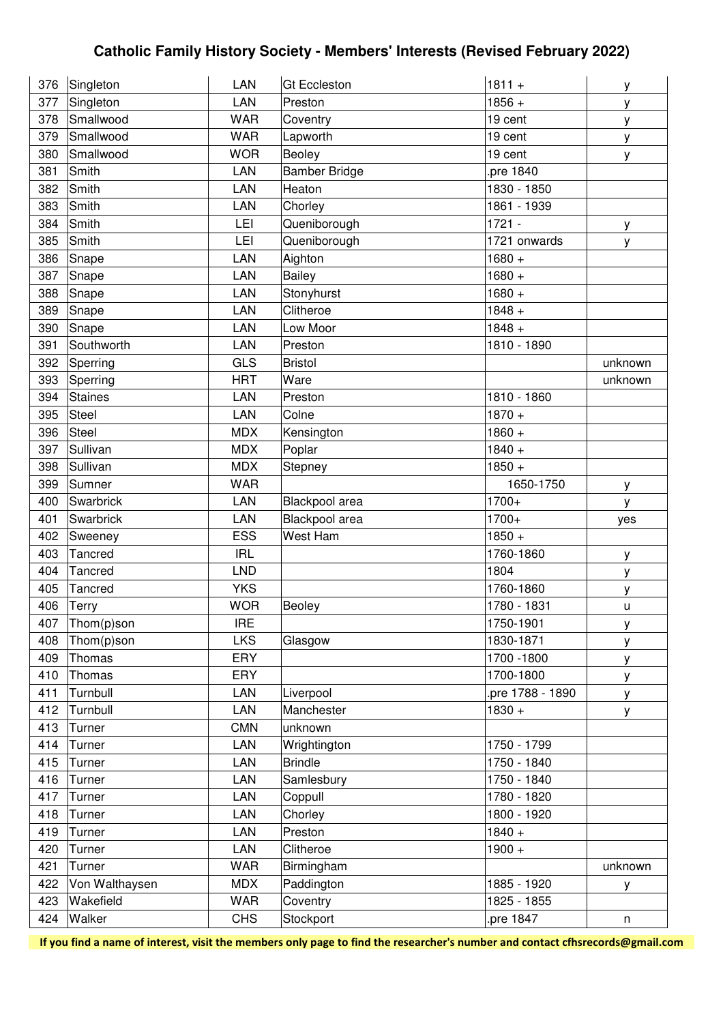| 376 | Singleton      | LAN        | <b>Gt Eccleston</b>  | $1811 +$         | у       |
|-----|----------------|------------|----------------------|------------------|---------|
| 377 | Singleton      | LAN        | Preston              | $1856 +$         | у       |
| 378 | Smallwood      | <b>WAR</b> | Coventry             | 19 cent          | у       |
| 379 | Smallwood      | <b>WAR</b> | Lapworth             | 19 cent          | У       |
| 380 | Smallwood      | <b>WOR</b> | Beoley               | 19 cent          | у       |
| 381 | Smith          | LAN        | <b>Bamber Bridge</b> | pre 1840         |         |
| 382 | Smith          | LAN        | Heaton               | 1830 - 1850      |         |
| 383 | Smith          | LAN        | Chorley              | 1861 - 1939      |         |
| 384 | Smith          | LEI        | Queniborough         | $1721 -$         | У       |
| 385 | Smith          | LEI        | Queniborough         | 1721 onwards     | у       |
| 386 | Snape          | LAN        | Aighton              | $1680 +$         |         |
| 387 | Snape          | LAN        | Bailey               | $1680 +$         |         |
| 388 | Snape          | LAN        | Stonyhurst           | $1680 +$         |         |
| 389 | Snape          | LAN        | Clitheroe            | $1848 +$         |         |
| 390 | Snape          | LAN        | Low Moor             | $1848 +$         |         |
| 391 | Southworth     | LAN        | Preston              | 1810 - 1890      |         |
| 392 | Sperring       | <b>GLS</b> | <b>Bristol</b>       |                  | unknown |
| 393 | Sperring       | <b>HRT</b> | Ware                 |                  | unknown |
| 394 | <b>Staines</b> | LAN        | Preston              | 1810 - 1860      |         |
| 395 | Steel          | LAN        | Colne                | $1870 +$         |         |
| 396 | Steel          | <b>MDX</b> | Kensington           | $1860 +$         |         |
| 397 | Sullivan       | <b>MDX</b> | Poplar               | $1840 +$         |         |
| 398 | Sullivan       | <b>MDX</b> | Stepney              | $1850 +$         |         |
| 399 | Sumner         | <b>WAR</b> |                      | 1650-1750        | у       |
| 400 | Swarbrick      | LAN        | Blackpool area       | 1700+            | у       |
| 401 | Swarbrick      | LAN        | Blackpool area       | 1700+            | yes     |
| 402 | Sweeney        | <b>ESS</b> | West Ham             | $1850 +$         |         |
| 403 | Tancred        | <b>IRL</b> |                      | 1760-1860        | у       |
| 404 | Tancred        | <b>LND</b> |                      | 1804             | у       |
| 405 | Tancred        | <b>YKS</b> |                      | 1760-1860        | у       |
| 406 | Terry          | <b>WOR</b> | Beoley               | 1780 - 1831      | u       |
| 407 | Thom(p)son     | <b>IRE</b> |                      | 1750-1901        | у       |
| 408 | Thom(p)son     | <b>LKS</b> | Glasgow              | 1830-1871        | У       |
| 409 | Thomas         | ERY        |                      | 1700 - 1800      | у       |
| 410 | Thomas         | ERY        |                      | 1700-1800        | У       |
| 411 | Turnbull       | LAN        | Liverpool            | pre 1788 - 1890. | У       |
| 412 | Turnbull       | LAN        | Manchester           | $1830 +$         | у       |
| 413 | Turner         | <b>CMN</b> | unknown              |                  |         |
| 414 | Turner         | LAN        | Wrightington         | 1750 - 1799      |         |
| 415 | Turner         | LAN        | <b>Brindle</b>       | 1750 - 1840      |         |
| 416 | Turner         | LAN        | Samlesbury           | 1750 - 1840      |         |
| 417 | Turner         | LAN        | Coppull              | 1780 - 1820      |         |
| 418 | Turner         | LAN        | Chorley              | 1800 - 1920      |         |
| 419 | Turner         | LAN        | Preston              | $1840 +$         |         |
| 420 | Turner         | LAN        | Clitheroe            | $1900 +$         |         |
| 421 | Turner         | <b>WAR</b> | Birmingham           |                  | unknown |
| 422 | Von Walthaysen | <b>MDX</b> | Paddington           | 1885 - 1920      | у       |
| 423 | Wakefield      | <b>WAR</b> | Coventry             | 1825 - 1855      |         |
| 424 | Walker         | <b>CHS</b> | Stockport            | pre 1847         | n       |